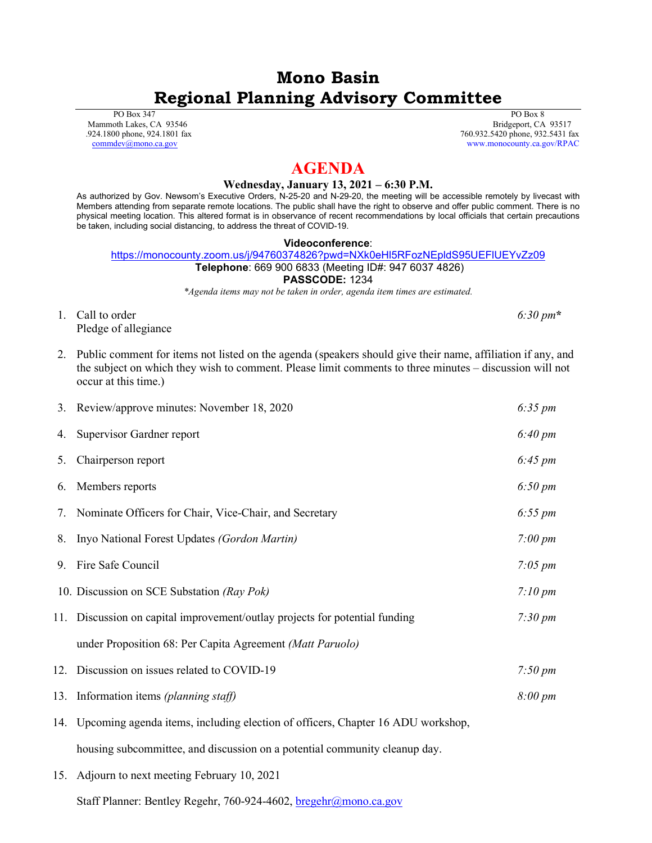# **Mono Basin Regional Planning Advisory Committee**

 PO Box 347 Mammoth Lakes, CA 93546 .924.1800 phone, 924.1801 fax [commdev@mono.ca.gov](mailto:commdev@mono.ca.gov)

 PO Box 8 Bridgeport, CA 93517 760.932.5420 phone, 932.5431 fax www.monocounty.ca.gov/RPAC

# **AGENDA**

## **Wednesday, January 13, 2021 – 6:30 P.M.**

As authorized by Gov. Newsom's Executive Orders, N-25-20 and N-29-20, the meeting will be accessible remotely by livecast with Members attending from separate remote locations. The public shall have the right to observe and offer public comment. There is no physical meeting location. This altered format is in observance of recent recommendations by local officials that certain precautions be taken, including social distancing, to address the threat of COVID-19.

#### **Videoconference**:

<https://monocounty.zoom.us/j/94760374826?pwd=NXk0eHl5RFozNEpldS95UEFlUEYvZz09> **Telephone**: 669 900 6833 (Meeting ID#: 947 6037 4826)

### **PASSCODE:** 1234

*\*Agenda items may not be taken in order, agenda item times are estimated.*

- 1. Call to order *6:30 pm***\*** Pledge of allegiance
- 2. Public comment for items not listed on the agenda (speakers should give their name, affiliation if any, and the subject on which they wish to comment. Please limit comments to three minutes – discussion will not occur at this time.)

|    | 3. Review/approve minutes: November 18, 2020                                        | $6:35 \, \text{pm}$ |
|----|-------------------------------------------------------------------------------------|---------------------|
|    | 4. Supervisor Gardner report                                                        | $6:40 \, \text{pm}$ |
| 5. | Chairperson report                                                                  | $6:45 \, \text{pm}$ |
| 6. | Members reports                                                                     | $6:50 \, \text{pm}$ |
| 7. | Nominate Officers for Chair, Vice-Chair, and Secretary                              | $6:55 \, \text{pm}$ |
|    | 8. Inyo National Forest Updates (Gordon Martin)                                     | $7:00 \, \text{pm}$ |
|    | 9. Fire Safe Council                                                                | $7:05 \, \text{pm}$ |
|    | 10. Discussion on SCE Substation (Ray Pok)                                          | $7:10 \, \text{pm}$ |
|    | 11. Discussion on capital improvement/outlay projects for potential funding         | $7:30 \, \text{pm}$ |
|    | under Proposition 68: Per Capita Agreement (Matt Paruolo)                           |                     |
|    | 12. Discussion on issues related to COVID-19                                        | $7:50 \, \text{pm}$ |
|    | 13. Information items (planning staff)                                              | $8:00 \, \text{pm}$ |
|    | 14. Upcoming agenda items, including election of officers, Chapter 16 ADU workshop, |                     |
|    | housing subcommittee, and discussion on a potential community cleanup day.          |                     |

15. Adjourn to next meeting February 10, 2021

Staff Planner: Bentley Regehr, 760-924-4602, bregehr@mono.ca.gov